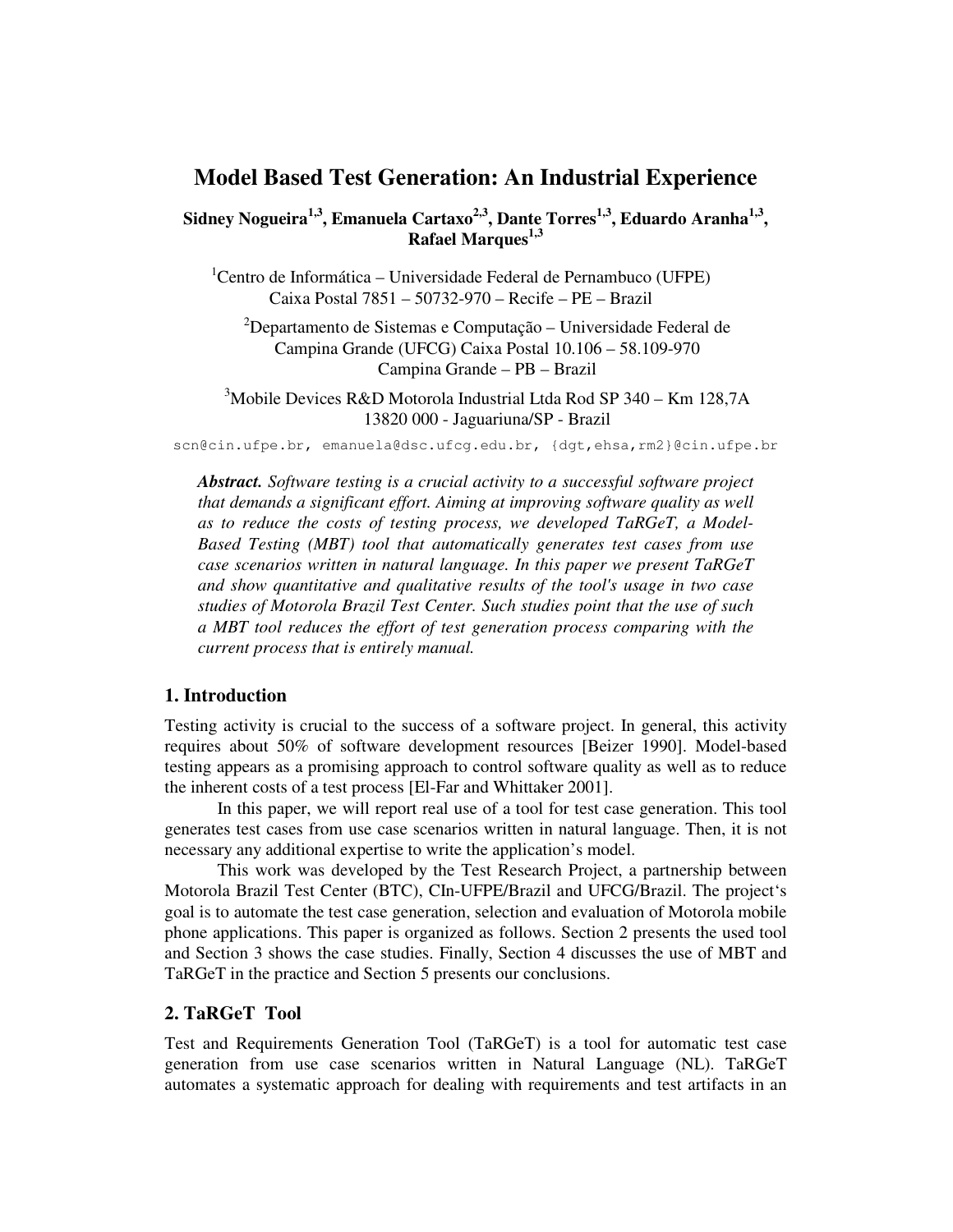# **Model Based Test Generation: An Industrial Experience**

**Sidney Nogueira1,3, Emanuela Cartaxo2,3, Dante Torres1,3, Eduardo Aranha1,3 , Rafael Marques1,3**

 ${}^{1}$ Centro de Informática – Universidade Federal de Pernambuco (UFPE) Caixa Postal 7851 – 50732-970 – Recife – PE – Brazil

 $^{2}$ Departamento de Sistemas e Computação – Universidade Federal de Campina Grande (UFCG) Caixa Postal 10.106 – 58.109-970 Campina Grande – PB – Brazil

<sup>3</sup>Mobile Devices R&D Motorola Industrial Ltda Rod SP 340 – Km 128,7A 13820 000 - Jaguariuna/SP - Brazil

scn@cin.ufpe.br, emanuela@dsc.ufcg.edu.br, {dgt,ehsa,rm2}@cin.ufpe.br

*Abstract. Software testing is a crucial activity to a successful software project that demands a significant effort. Aiming at improving software quality as well as to reduce the costs of testing process, we developed TaRGeT, a Model-Based Testing (MBT) tool that automatically generates test cases from use case scenarios written in natural language. In this paper we present TaRGeT and show quantitative and qualitative results of the tool's usage in two case studies of Motorola Brazil Test Center. Such studies point that the use of such a MBT tool reduces the effort of test generation process comparing with the current process that is entirely manual.* 

## **1. Introduction**

Testing activity is crucial to the success of a software project. In general, this activity requires about 50% of software development resources [Beizer 1990]. Model-based testing appears as a promising approach to control software quality as well as to reduce the inherent costs of a test process [El-Far and Whittaker 2001].

In this paper, we will report real use of a tool for test case generation. This tool generates test cases from use case scenarios written in natural language. Then, it is not necessary any additional expertise to write the application's model.

This work was developed by the Test Research Project, a partnership between Motorola Brazil Test Center (BTC), CIn-UFPE/Brazil and UFCG/Brazil. The project's goal is to automate the test case generation, selection and evaluation of Motorola mobile phone applications. This paper is organized as follows. Section 2 presents the used tool and Section 3 shows the case studies. Finally, Section 4 discusses the use of MBT and TaRGeT in the practice and Section 5 presents our conclusions.

## **2. TaRGeT Tool**

Test and Requirements Generation Tool (TaRGeT) is a tool for automatic test case generation from use case scenarios written in Natural Language (NL). TaRGeT automates a systematic approach for dealing with requirements and test artifacts in an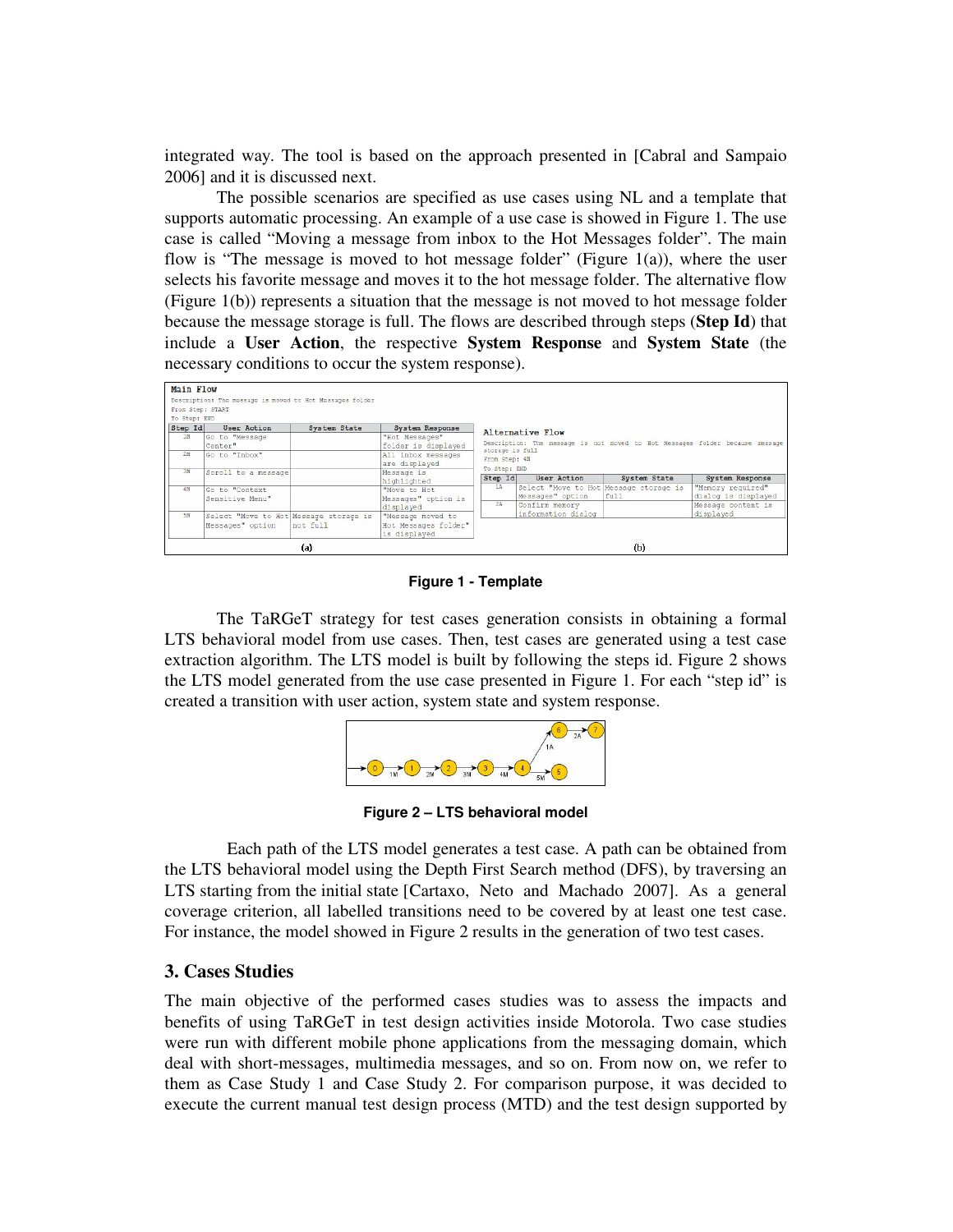integrated way. The tool is based on the approach presented in [Cabral and Sampaio 2006] and it is discussed next.

The possible scenarios are specified as use cases using NL and a template that supports automatic processing. An example of a use case is showed in Figure 1. The use case is called "Moving a message from inbox to the Hot Messages folder". The main flow is "The message is moved to hot message folder" (Figure  $1(a)$ ), where the user selects his favorite message and moves it to the hot message folder. The alternative flow (Figure 1(b)) represents a situation that the message is not moved to hot message folder because the message storage is full. The flows are described through steps (**Step Id**) that include a **User Action**, the respective **System Response** and **System State** (the necessary conditions to occur the system response).

| Main Flow<br>From Step: START<br>To Step: END | Description: The message is moved to Hot Messages folder   |              |                                                           |                                                                                                                  |                                                            |                     |                                          |
|-----------------------------------------------|------------------------------------------------------------|--------------|-----------------------------------------------------------|------------------------------------------------------------------------------------------------------------------|------------------------------------------------------------|---------------------|------------------------------------------|
| Step Id                                       | <b>User Action</b>                                         | System State | System Response                                           |                                                                                                                  | Alternative Flow                                           |                     |                                          |
| 1M                                            | Go to "Message<br>Center"                                  |              | "Hot Messages"<br>folder is displayed                     | Description: The message is not moved to Hot Messages folder because message<br>storage is full<br>From Step: 4M |                                                            |                     |                                          |
| 2 <sub>M</sub>                                | Go to "Inbox"                                              |              | All inbox messages<br>are displayed                       |                                                                                                                  |                                                            |                     |                                          |
| 3M                                            | Scroll to a message                                        |              | Message is<br>highlighted                                 | To Step: END<br>Step Id                                                                                          | <b>User Action</b>                                         | <b>System State</b> | System Response                          |
| <b>4M</b>                                     | Go to "Context<br>Sensitive Menu"                          |              | "Move to Hot<br>Messages" option is<br>displayed          | $1\text{Å}$                                                                                                      | Select "Move to Hot Message storage is<br>Messages" option | ful11               | "Memory required"<br>dialog is displayed |
|                                               |                                                            |              |                                                           | 2 <sub>A</sub>                                                                                                   | Confirm memory<br>information dialog                       |                     | Message content is                       |
| <b>5M</b>                                     | Select "Move to Hot Message storage is<br>Messages" option | not full     | "Message moved to<br>Hot Messages folder"<br>is displayed |                                                                                                                  |                                                            |                     | displayed                                |
|                                               | $\left( a\right)$                                          |              |                                                           |                                                                                                                  |                                                            | (b)                 |                                          |

**Figure 1 - Template** 

The TaRGeT strategy for test cases generation consists in obtaining a formal LTS behavioral model from use cases. Then, test cases are generated using a test case extraction algorithm. The LTS model is built by following the steps id. Figure 2 shows the LTS model generated from the use case presented in Figure 1. For each "step id" is created a transition with user action, system state and system response.



**Figure 2 – LTS behavioral model** 

Each path of the LTS model generates a test case. A path can be obtained from the LTS behavioral model using the Depth First Search method (DFS), by traversing an LTS starting from the initial state [Cartaxo, Neto and Machado 2007]. As a general coverage criterion, all labelled transitions need to be covered by at least one test case. For instance, the model showed in Figure 2 results in the generation of two test cases.

## **3. Cases Studies**

The main objective of the performed cases studies was to assess the impacts and benefits of using TaRGeT in test design activities inside Motorola. Two case studies were run with different mobile phone applications from the messaging domain, which deal with short-messages, multimedia messages, and so on. From now on, we refer to them as Case Study 1 and Case Study 2. For comparison purpose, it was decided to execute the current manual test design process (MTD) and the test design supported by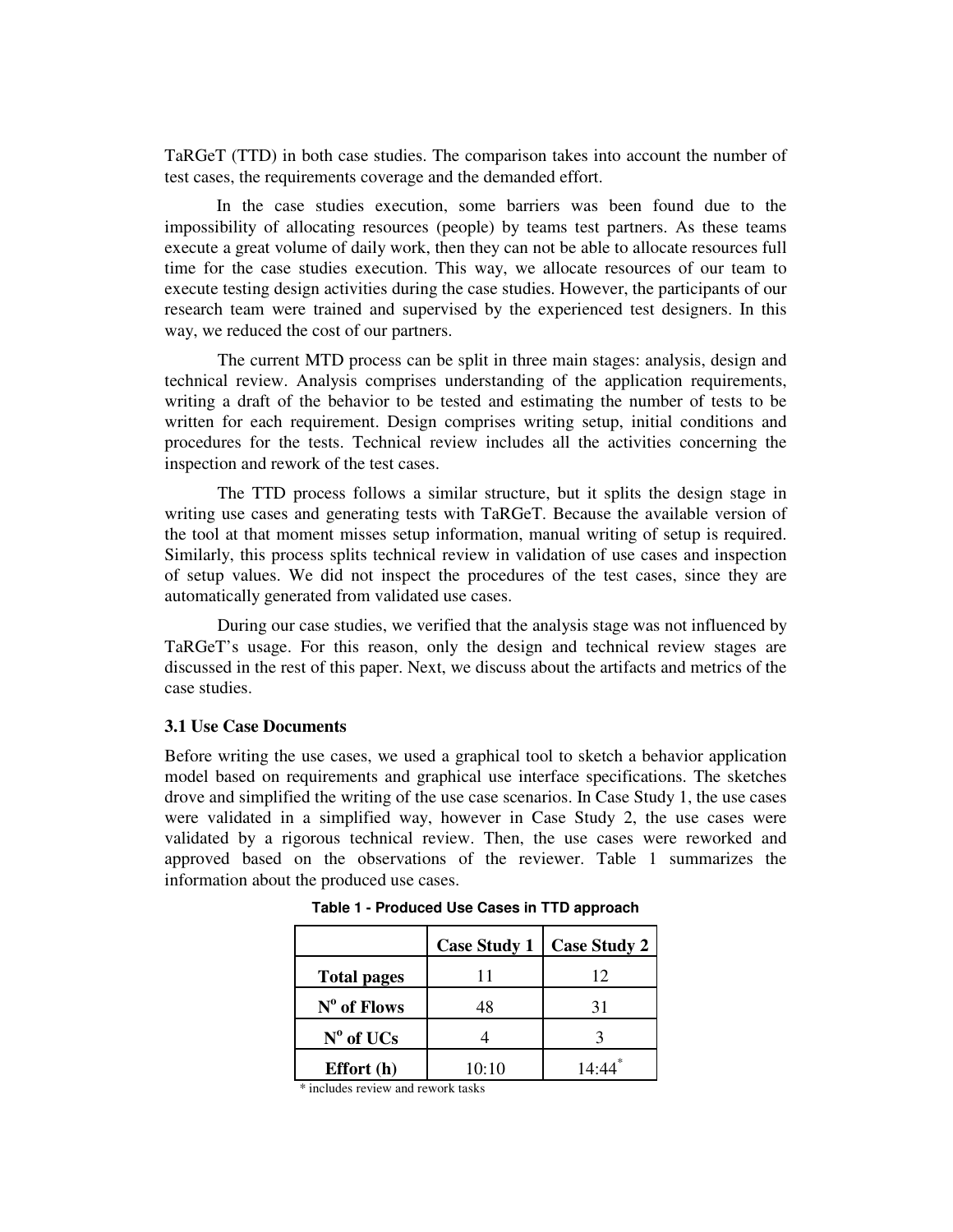TaRGeT (TTD) in both case studies. The comparison takes into account the number of test cases, the requirements coverage and the demanded effort.

In the case studies execution, some barriers was been found due to the impossibility of allocating resources (people) by teams test partners. As these teams execute a great volume of daily work, then they can not be able to allocate resources full time for the case studies execution. This way, we allocate resources of our team to execute testing design activities during the case studies. However, the participants of our research team were trained and supervised by the experienced test designers. In this way, we reduced the cost of our partners.

 The current MTD process can be split in three main stages: analysis, design and technical review. Analysis comprises understanding of the application requirements, writing a draft of the behavior to be tested and estimating the number of tests to be written for each requirement. Design comprises writing setup, initial conditions and procedures for the tests. Technical review includes all the activities concerning the inspection and rework of the test cases.

 The TTD process follows a similar structure, but it splits the design stage in writing use cases and generating tests with TaRGeT. Because the available version of the tool at that moment misses setup information, manual writing of setup is required. Similarly, this process splits technical review in validation of use cases and inspection of setup values. We did not inspect the procedures of the test cases, since they are automatically generated from validated use cases.

 During our case studies, we verified that the analysis stage was not influenced by TaRGeT's usage. For this reason, only the design and technical review stages are discussed in the rest of this paper. Next, we discuss about the artifacts and metrics of the case studies.

## **3.1 Use Case Documents**

Before writing the use cases, we used a graphical tool to sketch a behavior application model based on requirements and graphical use interface specifications. The sketches drove and simplified the writing of the use case scenarios. In Case Study 1, the use cases were validated in a simplified way, however in Case Study 2, the use cases were validated by a rigorous technical review. Then, the use cases were reworked and approved based on the observations of the reviewer. Table 1 summarizes the information about the produced use cases.

|                      | <b>Case Study 1</b> | <b>Case Study 2</b> |
|----------------------|---------------------|---------------------|
| <b>Total pages</b>   | 11                  | 12                  |
| $N^{\circ}$ of Flows | 48                  | 31                  |
| $N^{\circ}$ of UCs   |                     |                     |
| Effort (h)           | 10:10               | 14:44               |

**Table 1 - Produced Use Cases in TTD approach** 

\* includes review and rework tasks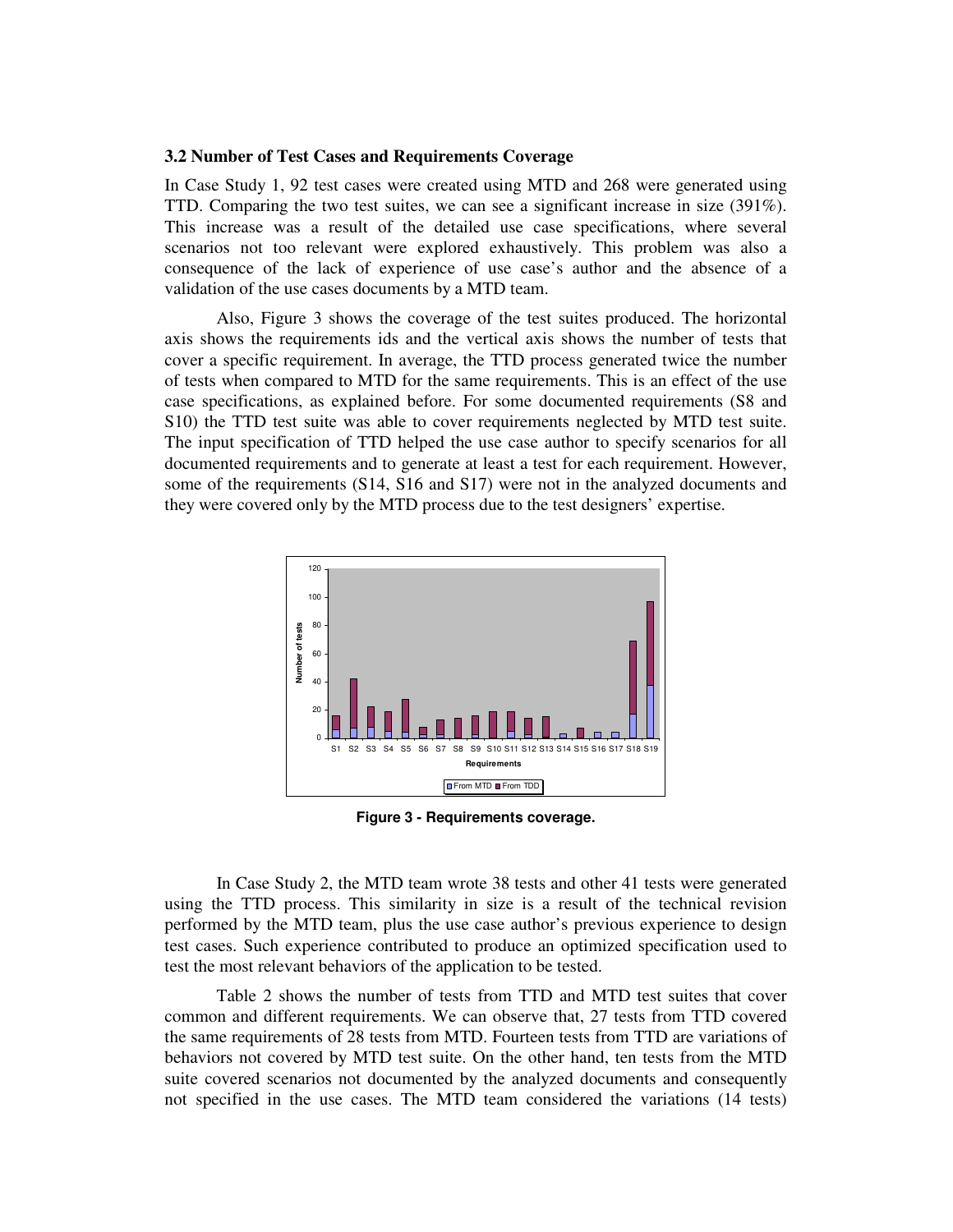#### **3.2 Number of Test Cases and Requirements Coverage**

In Case Study 1, 92 test cases were created using MTD and 268 were generated using TTD. Comparing the two test suites, we can see a significant increase in size (391%). This increase was a result of the detailed use case specifications, where several scenarios not too relevant were explored exhaustively. This problem was also a consequence of the lack of experience of use case's author and the absence of a validation of the use cases documents by a MTD team.

Also, Figure 3 shows the coverage of the test suites produced. The horizontal axis shows the requirements ids and the vertical axis shows the number of tests that cover a specific requirement. In average, the TTD process generated twice the number of tests when compared to MTD for the same requirements. This is an effect of the use case specifications, as explained before. For some documented requirements (S8 and S10) the TTD test suite was able to cover requirements neglected by MTD test suite. The input specification of TTD helped the use case author to specify scenarios for all documented requirements and to generate at least a test for each requirement. However, some of the requirements (S14, S16 and S17) were not in the analyzed documents and they were covered only by the MTD process due to the test designers' expertise.



**Figure 3 - Requirements coverage.** 

In Case Study 2, the MTD team wrote 38 tests and other 41 tests were generated using the TTD process. This similarity in size is a result of the technical revision performed by the MTD team, plus the use case author's previous experience to design test cases. Such experience contributed to produce an optimized specification used to test the most relevant behaviors of the application to be tested.

Table 2 shows the number of tests from TTD and MTD test suites that cover common and different requirements. We can observe that, 27 tests from TTD covered the same requirements of 28 tests from MTD. Fourteen tests from TTD are variations of behaviors not covered by MTD test suite. On the other hand, ten tests from the MTD suite covered scenarios not documented by the analyzed documents and consequently not specified in the use cases. The MTD team considered the variations (14 tests)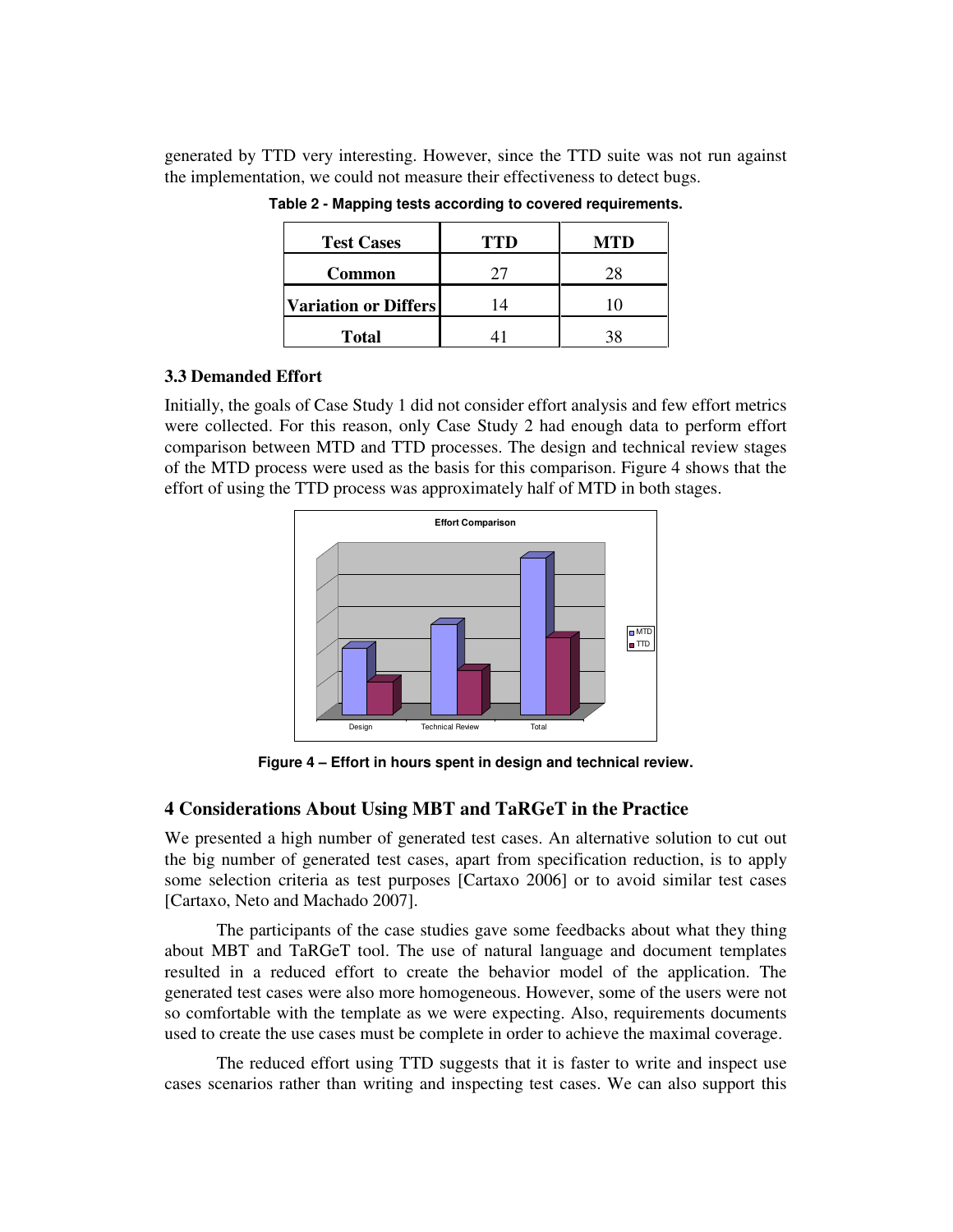generated by TTD very interesting. However, since the TTD suite was not run against the implementation, we could not measure their effectiveness to detect bugs.

| <b>Test Cases</b>           | TTD       | MTD |  |
|-----------------------------|-----------|-----|--|
| <b>Common</b>               | 77 I      | 78. |  |
| <b>Variation or Differs</b> | $\Lambda$ |     |  |
| <b>Total</b>                |           |     |  |

**Table 2 - Mapping tests according to covered requirements.** 

### **3.3 Demanded Effort**

Initially, the goals of Case Study 1 did not consider effort analysis and few effort metrics were collected. For this reason, only Case Study 2 had enough data to perform effort comparison between MTD and TTD processes. The design and technical review stages of the MTD process were used as the basis for this comparison. Figure 4 shows that the effort of using the TTD process was approximately half of MTD in both stages.



**Figure 4 – Effort in hours spent in design and technical review.** 

#### **4 Considerations About Using MBT and TaRGeT in the Practice**

We presented a high number of generated test cases. An alternative solution to cut out the big number of generated test cases, apart from specification reduction, is to apply some selection criteria as test purposes [Cartaxo 2006] or to avoid similar test cases [Cartaxo, Neto and Machado 2007].

The participants of the case studies gave some feedbacks about what they thing about MBT and TaRGeT tool. The use of natural language and document templates resulted in a reduced effort to create the behavior model of the application. The generated test cases were also more homogeneous. However, some of the users were not so comfortable with the template as we were expecting. Also, requirements documents used to create the use cases must be complete in order to achieve the maximal coverage.

The reduced effort using TTD suggests that it is faster to write and inspect use cases scenarios rather than writing and inspecting test cases. We can also support this